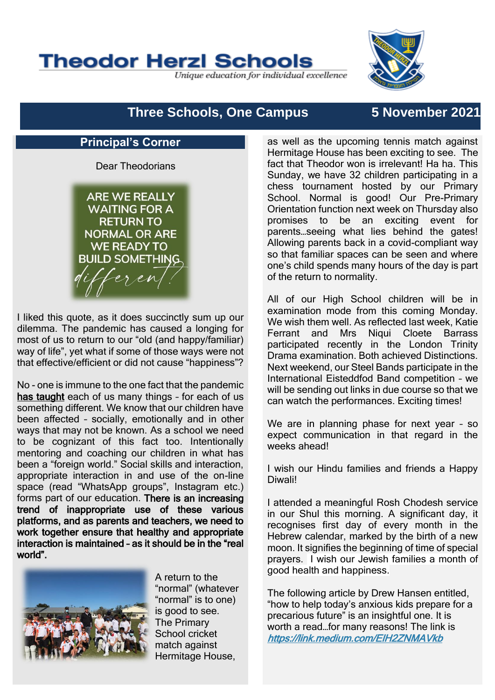

Unique education for individual excellence



# **Three Schools, One Campus 5 November 2021**

### **Principal's Corner**

Dear Theodorians

**ARF WF RFAILY WAITING FOR A RETURN TO NORMAL OR ARE WE READY TO BUILD SOMETHING.** feren

I liked this quote, as it does succinctly sum up our dilemma. The pandemic has caused a longing for most of us to return to our "old (and happy/familiar) way of life", yet what if some of those ways were not that effective/efficient or did not cause "happiness"?

No - one is immune to the one fact that the pandemic has taught each of us many things - for each of us something different. We know that our children have been affected – socially, emotionally and in other ways that may not be known. As a school we need to be cognizant of this fact too. Intentionally mentoring and coaching our children in what has been a "foreign world." Social skills and interaction, appropriate interaction in and use of the on-line space (read "WhatsApp groups", Instagram etc.) forms part of our education. There is an increasing trend of inappropriate use of these various platforms, and as parents and teachers, we need to work together ensure that healthy and appropriate interaction is maintained – as it should be in the "real world".



A return to the "normal" (whatever "normal" is to one) is good to see. The Primary School cricket match against Hermitage House,

as well as the upcoming tennis match against Hermitage House has been exciting to see. The fact that Theodor won is irrelevant! Ha ha. This Sunday, we have 32 children participating in a chess tournament hosted by our Primary School. Normal is good! Our Pre-Primary Orientation function next week on Thursday also promises to be an exciting event for parents…seeing what lies behind the gates! Allowing parents back in a covid-compliant way so that familiar spaces can be seen and where one's child spends many hours of the day is part of the return to normality.

All of our High School children will be in examination mode from this coming Monday. We wish them well. As reflected last week, Katie Ferrant and Mrs Niqui Cloete Barrass participated recently in the London Trinity Drama examination. Both achieved Distinctions. Next weekend, our Steel Bands participate in the International Eisteddfod Band competition – we will be sending out links in due course so that we can watch the performances. Exciting times!

We are in planning phase for next year – so expect communication in that regard in the weeks ahead!

I wish our Hindu families and friends a Happy Diwali!

I attended a meaningful Rosh Chodesh service in our Shul this morning. A significant day, it recognises first day of every month in the Hebrew calendar, marked by the birth of a new moon. It signifies the beginning of time of special prayers. I wish our Jewish families a month of good health and happiness.

The following article by Drew Hansen entitled, "how to help today's anxious kids prepare for a precarious future" is an insightful one. It is worth a read…for many reasons! The link is <https://link.medium.com/ElH2ZNMAVkb>